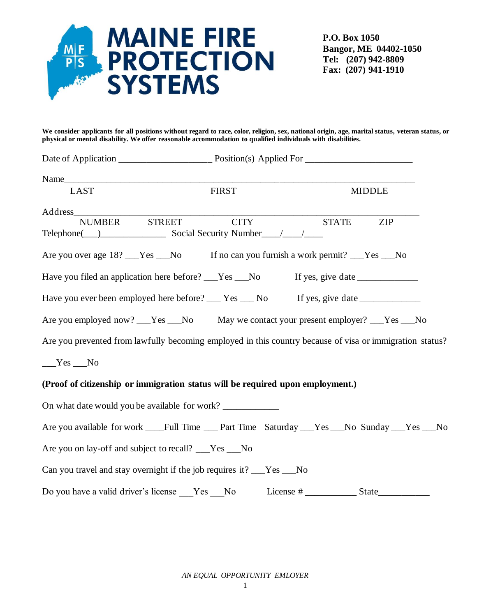

**P.O. Box 1050 Bangor, ME 04402-1050 Tel: (207) 942-8809 Fax: (207) 941-1910**

**We consider applicants for all positions without regard to race, color, religion, sex, national origin, age, marital status, veteran status, or physical or mental disability. We offer reasonable accommodation to qualified individuals with disabilities.** 

| Name $\qquad \qquad$                                                                                     |               |             |  |               |            |  |
|----------------------------------------------------------------------------------------------------------|---------------|-------------|--|---------------|------------|--|
| <b>LAST</b>                                                                                              | <b>FIRST</b>  |             |  | <b>MIDDLE</b> |            |  |
| Address                                                                                                  |               |             |  |               |            |  |
| <b>NUMBER</b>                                                                                            | <b>STREET</b> | <b>CITY</b> |  | <b>STATE</b>  | <b>ZIP</b> |  |
|                                                                                                          |               |             |  |               |            |  |
| Are you over age 18? Yes No If no can you furnish a work permit? Yes No                                  |               |             |  |               |            |  |
| Have you filed an application here before? The Sammon State Theory of State Press, give date             |               |             |  |               |            |  |
| Have you ever been employed here before? ___ Yes ___ No If yes, give date ____________                   |               |             |  |               |            |  |
| Are you employed now? __Yes __No May we contact your present employer? __Yes __No                        |               |             |  |               |            |  |
| Are you prevented from lawfully becoming employed in this country because of visa or immigration status? |               |             |  |               |            |  |
| $Yes$ No                                                                                                 |               |             |  |               |            |  |
| (Proof of citizenship or immigration status will be required upon employment.)                           |               |             |  |               |            |  |
| On what date would you be available for work? ___________________________________                        |               |             |  |               |            |  |
| Are you available for work ____Full Time ____Part Time Saturday ___Yes ___No Sunday ___Yes ___No         |               |             |  |               |            |  |
| Are you on lay-off and subject to recall? ___Yes ___No                                                   |               |             |  |               |            |  |
| Can you travel and stay overnight if the job requires it? ___Yes ___No                                   |               |             |  |               |            |  |
|                                                                                                          |               |             |  |               |            |  |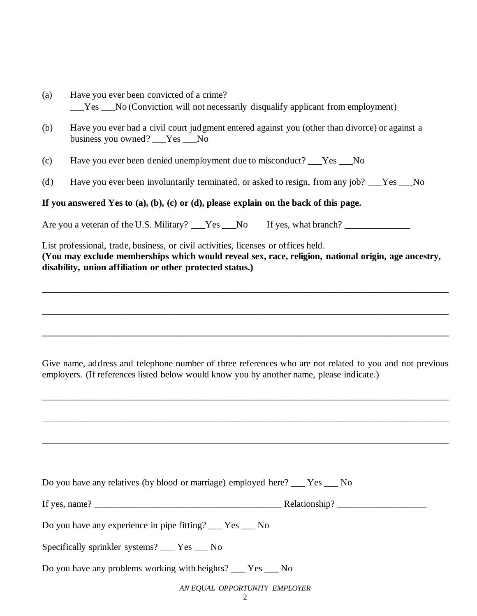- (a) Have you ever been convicted of a crime? \_\_\_Yes \_\_\_No (Conviction will not necessarily disqualify applicant from employment)
- (b) Have you ever had a civil court judgment entered against you (other than divorce) or against a business you owned? Yes No
- (c) Have you ever been denied unemployment due to misconduct? \_\_\_Yes \_\_\_No
- (d) Have you ever been involuntarily terminated, or asked to resign, from any job? \_\_\_Yes \_\_\_No

## **If you answered Yes to (a), (b), (c) or (d), please explain on the back of this page.**

Are you a veteran of the U.S. Military?  $Yes$  No If yes, what branch?

List professional, trade, business, or civil activities, licenses or offices held. **(You may exclude memberships which would reveal sex, race, religion, national origin, age ancestry, disability, union affiliation or other protected status.)**

**\_\_\_\_\_\_\_\_\_\_\_\_\_\_\_\_\_\_\_\_\_\_\_\_\_\_\_\_\_\_\_\_\_\_\_\_\_\_\_\_\_\_\_\_\_\_\_\_\_\_\_\_\_\_\_\_\_\_\_\_\_\_\_\_\_\_\_\_\_\_\_\_\_\_\_\_\_\_\_\_\_\_\_\_\_\_\_**

**\_\_\_\_\_\_\_\_\_\_\_\_\_\_\_\_\_\_\_\_\_\_\_\_\_\_\_\_\_\_\_\_\_\_\_\_\_\_\_\_\_\_\_\_\_\_\_\_\_\_\_\_\_\_\_\_\_\_\_\_\_\_\_\_\_\_\_\_\_\_\_\_\_\_\_\_\_\_\_\_\_\_\_\_\_\_\_**

**\_\_\_\_\_\_\_\_\_\_\_\_\_\_\_\_\_\_\_\_\_\_\_\_\_\_\_\_\_\_\_\_\_\_\_\_\_\_\_\_\_\_\_\_\_\_\_\_\_\_\_\_\_\_\_\_\_\_\_\_\_\_\_\_\_\_\_\_\_\_\_\_\_\_\_\_\_\_\_\_\_\_\_\_\_\_\_**

Give name, address and telephone number of three references who are not related to you and not previous employers. (If references listed below would know you by another name, please indicate.)

\_\_\_\_\_\_\_\_\_\_\_\_\_\_\_\_\_\_\_\_\_\_\_\_\_\_\_\_\_\_\_\_\_\_\_\_\_\_\_\_\_\_\_\_\_\_\_\_\_\_\_\_\_\_\_\_\_\_\_\_\_\_\_\_\_\_\_\_\_\_\_\_\_\_\_\_\_\_\_\_\_\_\_\_\_\_\_

\_\_\_\_\_\_\_\_\_\_\_\_\_\_\_\_\_\_\_\_\_\_\_\_\_\_\_\_\_\_\_\_\_\_\_\_\_\_\_\_\_\_\_\_\_\_\_\_\_\_\_\_\_\_\_\_\_\_\_\_\_\_\_\_\_\_\_\_\_\_\_\_\_\_\_\_\_\_\_\_\_\_\_\_\_\_\_

\_\_\_\_\_\_\_\_\_\_\_\_\_\_\_\_\_\_\_\_\_\_\_\_\_\_\_\_\_\_\_\_\_\_\_\_\_\_\_\_\_\_\_\_\_\_\_\_\_\_\_\_\_\_\_\_\_\_\_\_\_\_\_\_\_\_\_\_\_\_\_\_\_\_\_\_\_\_\_\_\_\_\_\_\_\_\_

| Do you have any relatives (by blood or marriage) employed here? ___ Yes ___ No |  |  |  |  |
|--------------------------------------------------------------------------------|--|--|--|--|
| If yes, name? $\_\_$                                                           |  |  |  |  |
| Do you have any experience in pipe fitting? The Yes No                         |  |  |  |  |
| Specifically sprinkler systems? ___ Yes ___ No                                 |  |  |  |  |
| Do you have any problems working with heights? ___ Yes ___ No                  |  |  |  |  |
| AN EQUAL OPPORTUNITY EMPLOYER                                                  |  |  |  |  |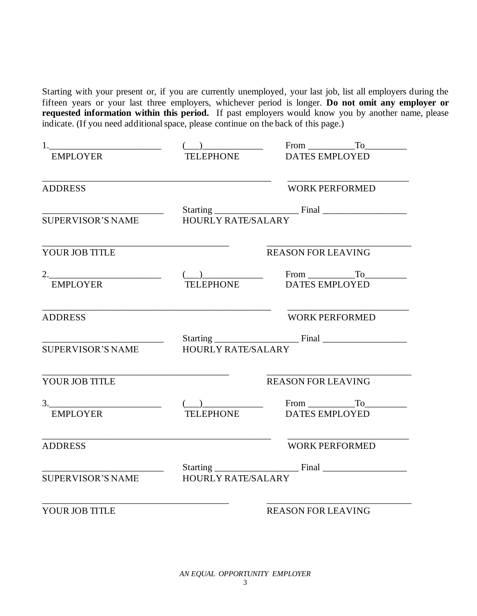Starting with your present or, if you are currently unemployed, your last job, list all employers during the fifteen years or your last three employers, whichever period is longer. **Do not omit any employer or requested information within this period.** If past employers would know you by another name, please indicate. (If you need additional space, please continue on the back of this page.)

| $\begin{array}{c} \begin{array}{c} \begin{array}{c} \end{array}\\ \begin{array}{c} \end{array}\\ \begin{array}{c} \end{array}\\ \begin{array}{c} \end{array}\\ \begin{array}{c} \end{array}\\ \begin{array}{c} \end{array}\\ \begin{array}{c} \end{array}\\ \begin{array}{c} \end{array}\\ \begin{array}{c} \end{array}\\ \begin{array}{c} \end{array}\\ \begin{array}{c} \end{array}\\ \begin{array}{c} \end{array}\\ \begin{array}{c} \end{array}\\ \begin{array}{c} \end{array}\\ \begin{array}{c} \end{array}\\ \begin{array}{c} \end{array}\\ \begin{array}{c} \end{array}\\ \begin$ | $From$ $T_0$                                                                                                                                                                                                                                                                                                                                                                                                                                                   |  |  |
|-------------------------------------------------------------------------------------------------------------------------------------------------------------------------------------------------------------------------------------------------------------------------------------------------------------------------------------------------------------------------------------------------------------------------------------------------------------------------------------------------------------------------------------------------------------------------------------------|----------------------------------------------------------------------------------------------------------------------------------------------------------------------------------------------------------------------------------------------------------------------------------------------------------------------------------------------------------------------------------------------------------------------------------------------------------------|--|--|
|                                                                                                                                                                                                                                                                                                                                                                                                                                                                                                                                                                                           | TELEPHONE DATES EMPLOYED                                                                                                                                                                                                                                                                                                                                                                                                                                       |  |  |
|                                                                                                                                                                                                                                                                                                                                                                                                                                                                                                                                                                                           | <b>WORK PERFORMED</b>                                                                                                                                                                                                                                                                                                                                                                                                                                          |  |  |
|                                                                                                                                                                                                                                                                                                                                                                                                                                                                                                                                                                                           |                                                                                                                                                                                                                                                                                                                                                                                                                                                                |  |  |
| <b>HOURLY RATE/SALARY</b>                                                                                                                                                                                                                                                                                                                                                                                                                                                                                                                                                                 |                                                                                                                                                                                                                                                                                                                                                                                                                                                                |  |  |
|                                                                                                                                                                                                                                                                                                                                                                                                                                                                                                                                                                                           | <b>REASON FOR LEAVING</b>                                                                                                                                                                                                                                                                                                                                                                                                                                      |  |  |
|                                                                                                                                                                                                                                                                                                                                                                                                                                                                                                                                                                                           |                                                                                                                                                                                                                                                                                                                                                                                                                                                                |  |  |
|                                                                                                                                                                                                                                                                                                                                                                                                                                                                                                                                                                                           |                                                                                                                                                                                                                                                                                                                                                                                                                                                                |  |  |
|                                                                                                                                                                                                                                                                                                                                                                                                                                                                                                                                                                                           | <b>WORK PERFORMED</b>                                                                                                                                                                                                                                                                                                                                                                                                                                          |  |  |
|                                                                                                                                                                                                                                                                                                                                                                                                                                                                                                                                                                                           |                                                                                                                                                                                                                                                                                                                                                                                                                                                                |  |  |
| <b>HOURLY RATE/SALARY</b>                                                                                                                                                                                                                                                                                                                                                                                                                                                                                                                                                                 |                                                                                                                                                                                                                                                                                                                                                                                                                                                                |  |  |
|                                                                                                                                                                                                                                                                                                                                                                                                                                                                                                                                                                                           | <b>REASON FOR LEAVING</b>                                                                                                                                                                                                                                                                                                                                                                                                                                      |  |  |
|                                                                                                                                                                                                                                                                                                                                                                                                                                                                                                                                                                                           |                                                                                                                                                                                                                                                                                                                                                                                                                                                                |  |  |
|                                                                                                                                                                                                                                                                                                                                                                                                                                                                                                                                                                                           |                                                                                                                                                                                                                                                                                                                                                                                                                                                                |  |  |
|                                                                                                                                                                                                                                                                                                                                                                                                                                                                                                                                                                                           | <b>WORK PERFORMED</b>                                                                                                                                                                                                                                                                                                                                                                                                                                          |  |  |
|                                                                                                                                                                                                                                                                                                                                                                                                                                                                                                                                                                                           |                                                                                                                                                                                                                                                                                                                                                                                                                                                                |  |  |
| <b>SUPERVISOR'S NAME</b><br><b>HOURLY RATE/SALARY</b>                                                                                                                                                                                                                                                                                                                                                                                                                                                                                                                                     |                                                                                                                                                                                                                                                                                                                                                                                                                                                                |  |  |
|                                                                                                                                                                                                                                                                                                                                                                                                                                                                                                                                                                                           | <b>REASON FOR LEAVING</b>                                                                                                                                                                                                                                                                                                                                                                                                                                      |  |  |
|                                                                                                                                                                                                                                                                                                                                                                                                                                                                                                                                                                                           | $\begin{tabular}{ccccc} 3. & & & & & & & & & & & & \text{From} & \text{To} & \text{or} & \text{or} & \text{or} & \text{or} & \text{or} & \text{or} & \text{or} & \text{or} & \text{or} & \text{or} & \text{or} & \text{or} & \text{or} & \text{or} & \text{or} & \text{or} & \text{or} & \text{or} & \text{or} & \text{or} & \text{or} & \text{or} & \text{or} & \text{or} & \text{or} & \text{or} & \text{or} & \text{or} & \text{or} & \text{or} & \text{or$ |  |  |

*AN EQUAL OPPORTUNITY EMPLOYER*